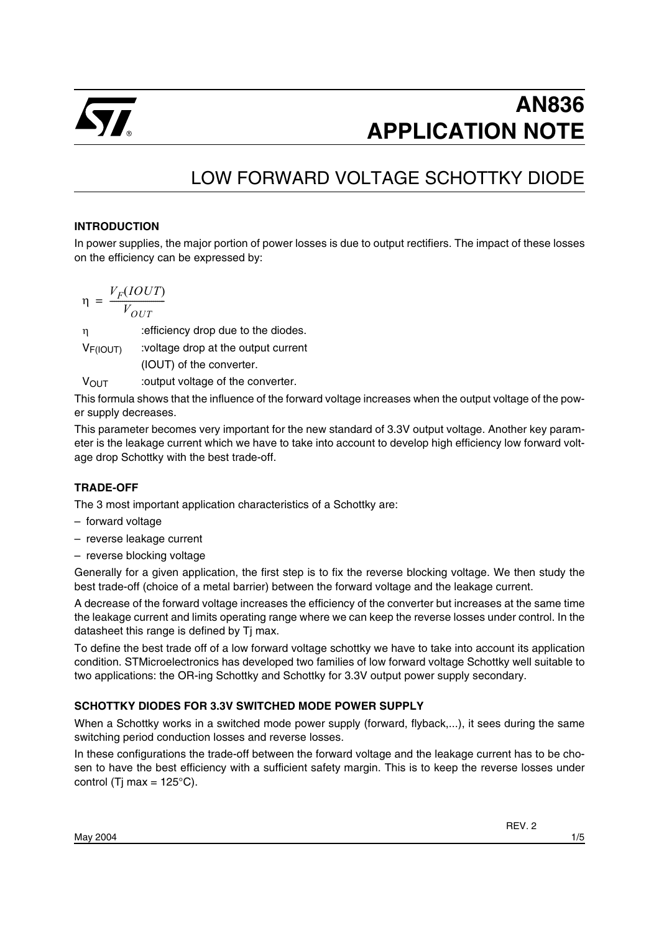

# **AN836 APPLICATION NOTE**

# LOW FORWARD VOLTAGE SCHOTTKY DIODE

#### **INTRODUCTION**

In power supplies, the major portion of power losses is due to output rectifiers. The impact of these losses on the efficiency can be expressed by:

$$
\eta = \frac{V_F (IOUT)}{V_{OUT}}
$$

η :efficiency drop due to the diodes.

VF(IOUT) :voltage drop at the output current

(IOUT) of the converter.

VOUT :output voltage of the converter.

This formula shows that the influence of the forward voltage increases when the output voltage of the power supply decreases.

This parameter becomes very important for the new standard of 3.3V output voltage. Another key parameter is the leakage current which we have to take into account to develop high efficiency low forward voltage drop Schottky with the best trade-off.

#### **TRADE-OFF**

The 3 most important application characteristics of a Schottky are:

- forward voltage
- reverse leakage current
- reverse blocking voltage

Generally for a given application, the first step is to fix the reverse blocking voltage. We then study the best trade-off (choice of a metal barrier) between the forward voltage and the leakage current.

A decrease of the forward voltage increases the efficiency of the converter but increases at the same time the leakage current and limits operating range where we can keep the reverse losses under control. In the datasheet this range is defined by Tj max.

To define the best trade off of a low forward voltage schottky we have to take into account its application condition. STMicroelectronics has developed two families of low forward voltage Schottky well suitable to two applications: the OR-ing Schottky and Schottky for 3.3V output power supply secondary.

#### **SCHOTTKY DIODES FOR 3.3V SWITCHED MODE POWER SUPPLY**

When a Schottky works in a switched mode power supply (forward, flyback,...), it sees during the same switching period conduction losses and reverse losses.

In these configurations the trade-off between the forward voltage and the leakage current has to be chosen to have the best efficiency with a sufficient safety margin. This is to keep the reverse losses under control (Tj max =  $125^{\circ}$ C).

REV. 2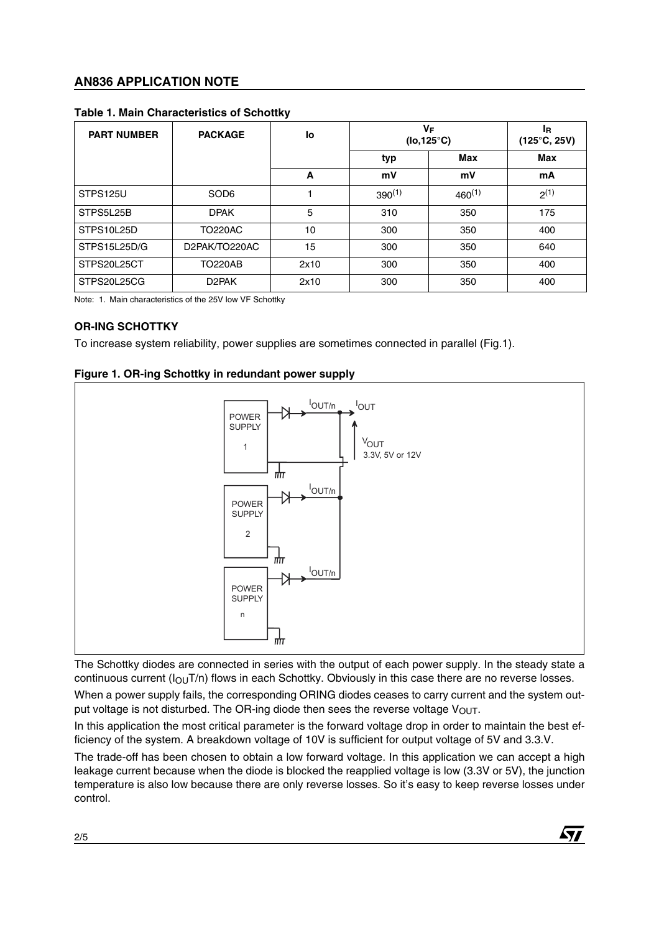### **AN836 APPLICATION NOTE**

| <b>PART NUMBER</b> | <b>PACKAGE</b>     | lo   | VF<br>$($ lo,125 $^{\circ}$ C) |             | ΙR.<br>$(125^{\circ}C, 25V)$ |
|--------------------|--------------------|------|--------------------------------|-------------|------------------------------|
|                    |                    |      | typ                            | Max         | Max                          |
|                    |                    | A    | mV                             | mV          | mA                           |
| STPS125U           | SOD <sub>6</sub>   |      | $390^{(1)}$                    | $460^{(1)}$ | $2^{(1)}$                    |
| STPS5L25B          | <b>DPAK</b>        | 5    | 310                            | 350         | 175                          |
| STPS10L25D         | <b>TO220AC</b>     | 10   | 300                            | 350         | 400                          |
| STPS15L25D/G       | D2PAK/TO220AC      | 15   | 300                            | 350         | 640                          |
| STPS20L25CT        | <b>TO220AB</b>     | 2x10 | 300                            | 350         | 400                          |
| STPS20L25CG        | D <sub>2</sub> PAK | 2x10 | 300                            | 350         | 400                          |

#### **Table 1. Main Characteristics of Schottky**

Note: 1. Main characteristics of the 25V low VF Schottky

#### **OR-ING SCHOTTKY**

To increase system reliability, power supplies are sometimes connected in parallel (Fig.1).



#### **Figure 1. OR-ing Schottky in redundant power supply**

The Schottky diodes are connected in series with the output of each power supply. In the steady state a continuous current  $(I<sub>OU</sub>T/n)$  flows in each Schottky. Obviously in this case there are no reverse losses. When a power supply fails, the corresponding ORING diodes ceases to carry current and the system output voltage is not disturbed. The OR-ing diode then sees the reverse voltage  $V_{\text{OUT}}$ .

In this application the most critical parameter is the forward voltage drop in order to maintain the best efficiency of the system. A breakdown voltage of 10V is sufficient for output voltage of 5V and 3.3.V.

The trade-off has been chosen to obtain a low forward voltage. In this application we can accept a high leakage current because when the diode is blocked the reapplied voltage is low (3.3V or 5V), the junction temperature is also low because there are only reverse losses. So it's easy to keep reverse losses under control.

57

2/5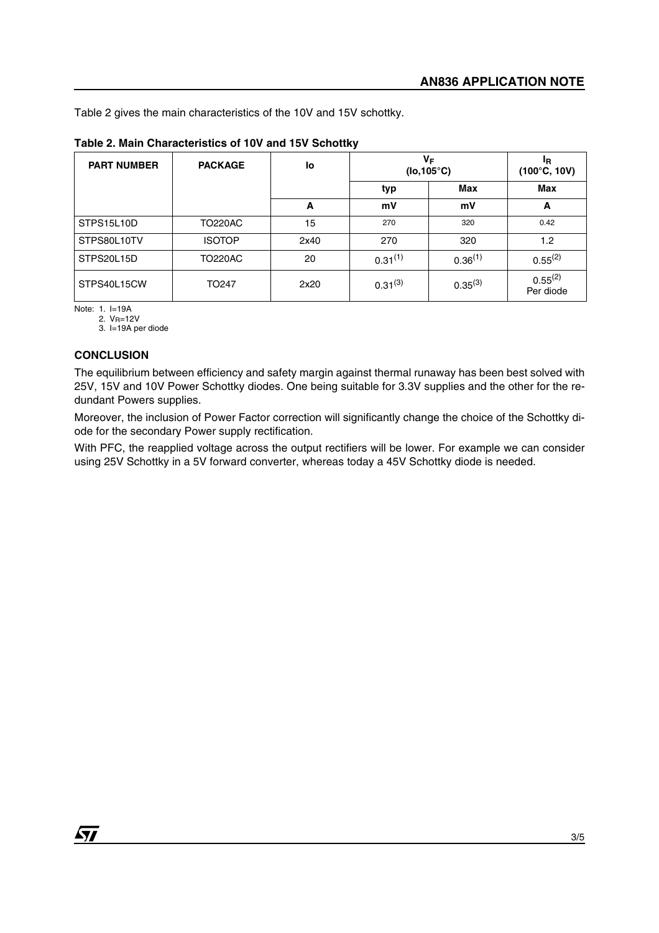Table 2 gives the main characteristics of the 10V and 15V schottky.

| <b>PART NUMBER</b> | <b>PACKAGE</b>    | lo   | VF<br>$(Io, 105^{\circ}C)$ |              | ΙR.<br>$(100^{\circ}C, 10V)$ |
|--------------------|-------------------|------|----------------------------|--------------|------------------------------|
|                    |                   |      | typ                        | <b>Max</b>   | Max                          |
|                    |                   | A    | mV                         | mV           | A                            |
| STPS15L10D         | TO220AC           | 15   | 270                        | 320          | 0.42                         |
| STPS80L10TV        | <b>ISOTOP</b>     | 2x40 | 270                        | 320          | 1.2                          |
| STPS20L15D         | TO220AC           | 20   | $0.31^{(1)}$               | $0.36^{(1)}$ | $0.55^{(2)}$                 |
| STPS40L15CW        | TO <sub>247</sub> | 2x20 | $0.31^{(3)}$               | $0.35^{(3)}$ | $0.55^{(2)}$<br>Per diode    |

#### **Table 2. Main Characteristics of 10V and 15V Schottky**

Note: 1. I=19A

2. V<sub>R</sub>=12V

3. I=19A per diode

#### **CONCLUSION**

The equilibrium between efficiency and safety margin against thermal runaway has been best solved with 25V, 15V and 10V Power Schottky diodes. One being suitable for 3.3V supplies and the other for the redundant Powers supplies.

Moreover, the inclusion of Power Factor correction will significantly change the choice of the Schottky diode for the secondary Power supply rectification.

With PFC, the reapplied voltage across the output rectifiers will be lower. For example we can consider using 25V Schottky in a 5V forward converter, whereas today a 45V Schottky diode is needed.

*ST*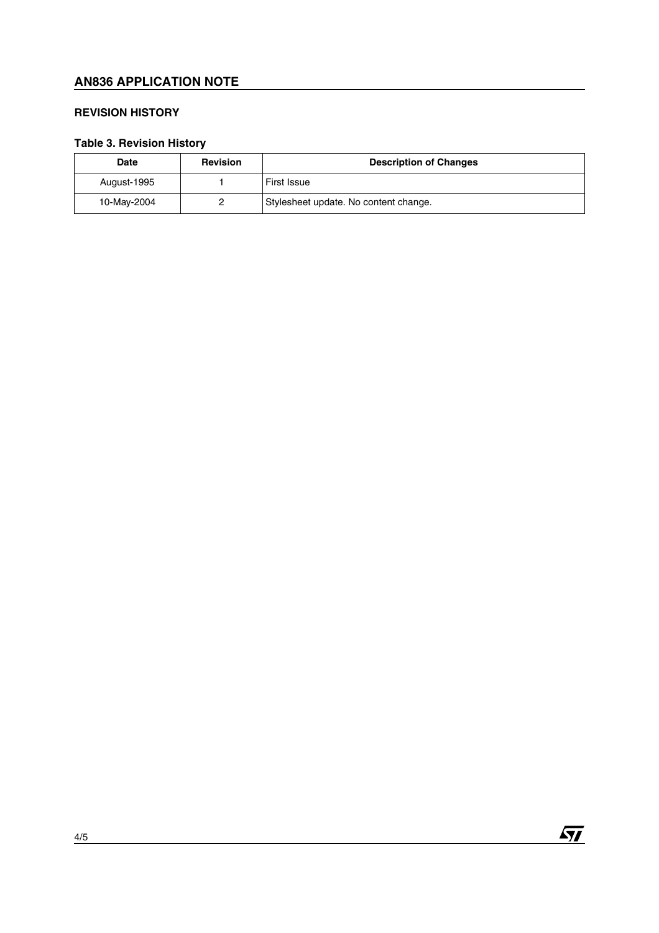## **AN836 APPLICATION NOTE**

#### **REVISION HISTORY**

# **Table 3. Revision History**

| Date        | <b>Revision</b> | <b>Description of Changes</b>         |
|-------------|-----------------|---------------------------------------|
| August-1995 |                 | <b>First Issue</b>                    |
| 10-May-2004 |                 | Stylesheet update. No content change. |